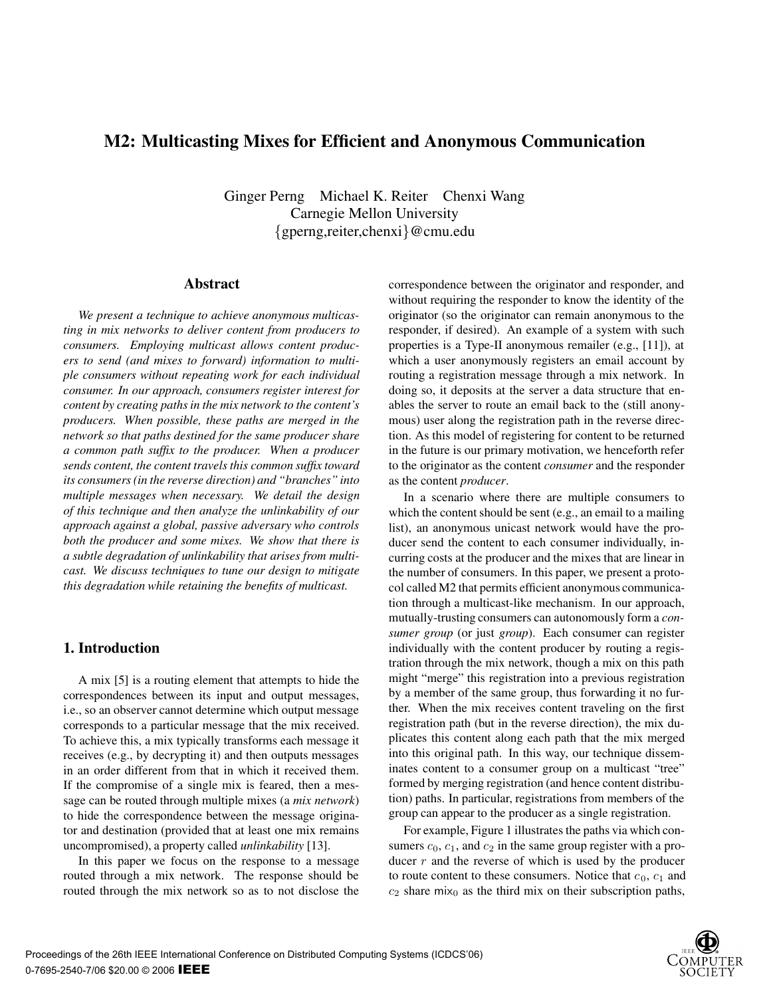# **M2: Multicasting Mixes for Efficient and Anonymous Communication**

Ginger Perng Michael K. Reiter Chenxi Wang Carnegie Mellon University {gperng,reiter,chenxi}@cmu.edu

## **Abstract**

*We present a technique to achieve anonymous multicasting in mix networks to deliver content from producers to consumers. Employing multicast allows content producers to send (and mixes to forward) information to multiple consumers without repeating work for each individual consumer. In our approach, consumers register interest for content by creating paths in the mix network to the content's producers. When possible, these paths are merged in the network so that paths destined for the same producer share a common path suffix to the producer. When a producer sends content, the content travels this common suffix toward its consumers (in the reverse direction) and "branches" into multiple messages when necessary. We detail the design of this technique and then analyze the unlinkability of our approach against a global, passive adversary who controls both the producer and some mixes. We show that there is a subtle degradation of unlinkability that arises from multicast. We discuss techniques to tune our design to mitigate this degradation while retaining the benefits of multicast.*

## **1. Introduction**

A mix [5] is a routing element that attempts to hide the correspondences between its input and output messages, i.e., so an observer cannot determine which output message corresponds to a particular message that the mix received. To achieve this, a mix typically transforms each message it receives (e.g., by decrypting it) and then outputs messages in an order different from that in which it received them. If the compromise of a single mix is feared, then a message can be routed through multiple mixes (a *mix network*) to hide the correspondence between the message originator and destination (provided that at least one mix remains uncompromised), a property called *unlinkability* [13].

In this paper we focus on the response to a message routed through a mix network. The response should be routed through the mix network so as to not disclose the

correspondence between the originator and responder, and without requiring the responder to know the identity of the originator (so the originator can remain anonymous to the responder, if desired). An example of a system with such properties is a Type-II anonymous remailer (e.g., [11]), at which a user anonymously registers an email account by routing a registration message through a mix network. In doing so, it deposits at the server a data structure that enables the server to route an email back to the (still anonymous) user along the registration path in the reverse direction. As this model of registering for content to be returned in the future is our primary motivation, we henceforth refer to the originator as the content *consumer* and the responder as the content *producer*.

In a scenario where there are multiple consumers to which the content should be sent (e.g., an email to a mailing list), an anonymous unicast network would have the producer send the content to each consumer individually, incurring costs at the producer and the mixes that are linear in the number of consumers. In this paper, we present a protocol called M2 that permits efficient anonymous communication through a multicast-like mechanism. In our approach, mutually-trusting consumers can autonomously form a *consumer group* (or just *group*). Each consumer can register individually with the content producer by routing a registration through the mix network, though a mix on this path might "merge" this registration into a previous registration by a member of the same group, thus forwarding it no further. When the mix receives content traveling on the first registration path (but in the reverse direction), the mix duplicates this content along each path that the mix merged into this original path. In this way, our technique disseminates content to a consumer group on a multicast "tree" formed by merging registration (and hence content distribution) paths. In particular, registrations from members of the group can appear to the producer as a single registration.

For example, Figure 1 illustrates the paths via which consumers  $c_0$ ,  $c_1$ , and  $c_2$  in the same group register with a producer  $r$  and the reverse of which is used by the producer to route content to these consumers. Notice that  $c_0$ ,  $c_1$  and  $c_2$  share mix<sub>0</sub> as the third mix on their subscription paths,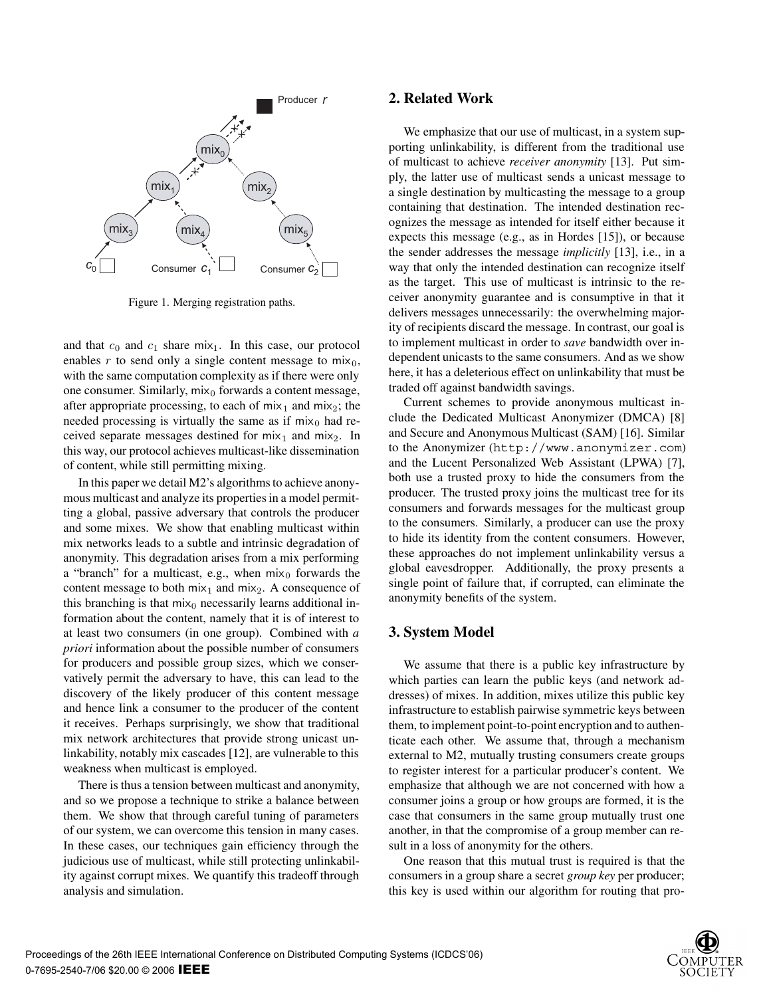

Figure 1. Merging registration paths.

and that  $c_0$  and  $c_1$  share mix<sub>1</sub>. In this case, our protocol enables r to send only a single content message to  $mix_0$ , with the same computation complexity as if there were only one consumer. Similarly,  $mix_0$  forwards a content message, after appropriate processing, to each of  $mix_1$  and  $mix_2$ ; the needed processing is virtually the same as if  $mix_0$  had received separate messages destined for  $mix_1$  and  $mix_2$ . In this way, our protocol achieves multicast-like dissemination of content, while still permitting mixing.

In this paper we detail M2's algorithms to achieve anonymous multicast and analyze its properties in a model permitting a global, passive adversary that controls the producer and some mixes. We show that enabling multicast within mix networks leads to a subtle and intrinsic degradation of anonymity. This degradation arises from a mix performing a "branch" for a multicast, e.g., when  $mix_0$  forwards the content message to both  $mix_1$  and mix<sub>2</sub>. A consequence of this branching is that  $mix_0$  necessarily learns additional information about the content, namely that it is of interest to at least two consumers (in one group). Combined with *a priori* information about the possible number of consumers for producers and possible group sizes, which we conservatively permit the adversary to have, this can lead to the discovery of the likely producer of this content message and hence link a consumer to the producer of the content it receives. Perhaps surprisingly, we show that traditional mix network architectures that provide strong unicast unlinkability, notably mix cascades [12], are vulnerable to this weakness when multicast is employed.

There is thus a tension between multicast and anonymity, and so we propose a technique to strike a balance between them. We show that through careful tuning of parameters of our system, we can overcome this tension in many cases. In these cases, our techniques gain efficiency through the judicious use of multicast, while still protecting unlinkability against corrupt mixes. We quantify this tradeoff through analysis and simulation.

### **2. Related Work**

We emphasize that our use of multicast, in a system supporting unlinkability, is different from the traditional use of multicast to achieve *receiver anonymity* [13]. Put simply, the latter use of multicast sends a unicast message to a single destination by multicasting the message to a group containing that destination. The intended destination recognizes the message as intended for itself either because it expects this message (e.g., as in Hordes [15]), or because the sender addresses the message *implicitly* [13], i.e., in a way that only the intended destination can recognize itself as the target. This use of multicast is intrinsic to the receiver anonymity guarantee and is consumptive in that it delivers messages unnecessarily: the overwhelming majority of recipients discard the message. In contrast, our goal is to implement multicast in order to *save* bandwidth over independent unicasts to the same consumers. And as we show here, it has a deleterious effect on unlinkability that must be traded off against bandwidth savings.

Current schemes to provide anonymous multicast include the Dedicated Multicast Anonymizer (DMCA) [8] and Secure and Anonymous Multicast (SAM) [16]. Similar to the Anonymizer (http://www.anonymizer.com) and the Lucent Personalized Web Assistant (LPWA) [7], both use a trusted proxy to hide the consumers from the producer. The trusted proxy joins the multicast tree for its consumers and forwards messages for the multicast group to the consumers. Similarly, a producer can use the proxy to hide its identity from the content consumers. However, these approaches do not implement unlinkability versus a global eavesdropper. Additionally, the proxy presents a single point of failure that, if corrupted, can eliminate the anonymity benefits of the system.

## **3. System Model**

We assume that there is a public key infrastructure by which parties can learn the public keys (and network addresses) of mixes. In addition, mixes utilize this public key infrastructure to establish pairwise symmetric keys between them, to implement point-to-point encryption and to authenticate each other. We assume that, through a mechanism external to M2, mutually trusting consumers create groups to register interest for a particular producer's content. We emphasize that although we are not concerned with how a consumer joins a group or how groups are formed, it is the case that consumers in the same group mutually trust one another, in that the compromise of a group member can result in a loss of anonymity for the others.

One reason that this mutual trust is required is that the consumers in a group share a secret *group key* per producer; this key is used within our algorithm for routing that pro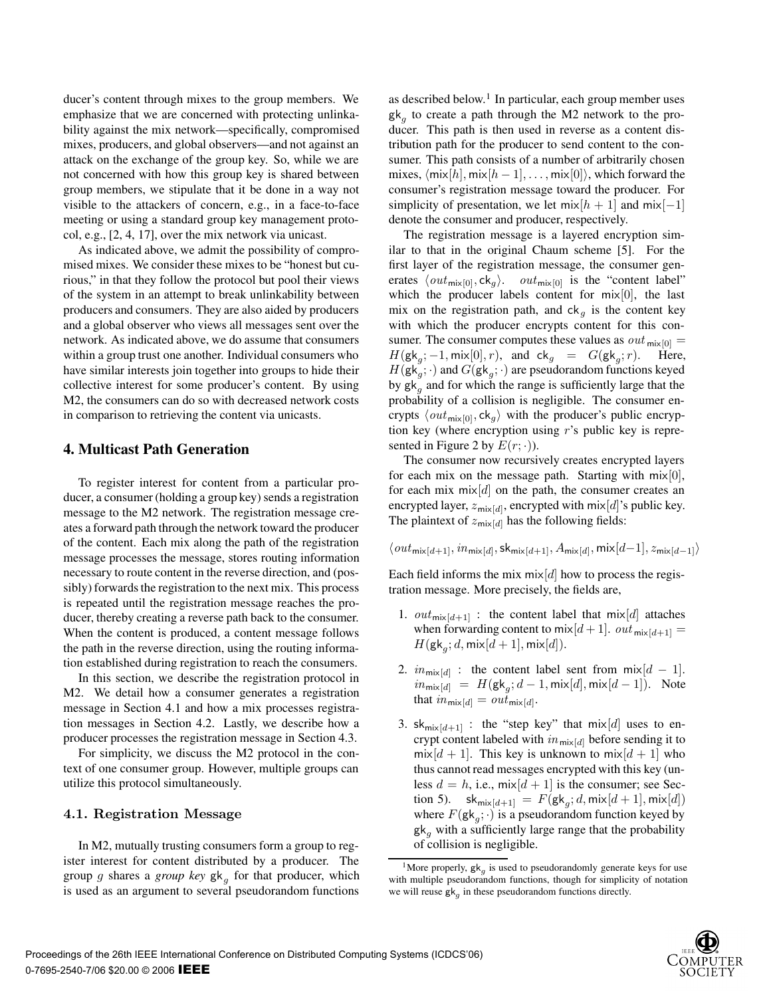ducer's content through mixes to the group members. We emphasize that we are concerned with protecting unlinkability against the mix network—specifically, compromised mixes, producers, and global observers—and not against an attack on the exchange of the group key. So, while we are not concerned with how this group key is shared between group members, we stipulate that it be done in a way not visible to the attackers of concern, e.g., in a face-to-face meeting or using a standard group key management protocol, e.g., [2, 4, 17], over the mix network via unicast.

As indicated above, we admit the possibility of compromised mixes. We consider these mixes to be "honest but curious," in that they follow the protocol but pool their views of the system in an attempt to break unlinkability between producers and consumers. They are also aided by producers and a global observer who views all messages sent over the network. As indicated above, we do assume that consumers within a group trust one another. Individual consumers who have similar interests join together into groups to hide their collective interest for some producer's content. By using M2, the consumers can do so with decreased network costs in comparison to retrieving the content via unicasts.

## **4. Multicast Path Generation**

To register interest for content from a particular producer, a consumer (holding a group key) sends a registration message to the M2 network. The registration message creates a forward path through the network toward the producer of the content. Each mix along the path of the registration message processes the message, stores routing information necessary to route content in the reverse direction, and (possibly) forwards the registration to the next mix. This process is repeated until the registration message reaches the producer, thereby creating a reverse path back to the consumer. When the content is produced, a content message follows the path in the reverse direction, using the routing information established during registration to reach the consumers.

In this section, we describe the registration protocol in M2. We detail how a consumer generates a registration message in Section 4.1 and how a mix processes registration messages in Section 4.2. Lastly, we describe how a producer processes the registration message in Section 4.3.

For simplicity, we discuss the M2 protocol in the context of one consumer group. However, multiple groups can utilize this protocol simultaneously.

### **4.1. Registration Message**

In M2, mutually trusting consumers form a group to register interest for content distributed by a producer. The group g shares a *group key*  $g_k$  for that producer, which is used as an argument to several pseudorandom functions as described below.<sup>1</sup> In particular, each group member uses  $g_k$  to create a path through the M2 network to the producer. This path is then used in reverse as a content distribution path for the producer to send content to the consumer. This path consists of a number of arbitrarily chosen mixes,  $\langle \text{mix}[h], \text{mix}[h-1], \dots, \text{mix}[0] \rangle$ , which forward the consumer's registration message toward the producer. For consumer's registration message toward the producer. For simplicity of presentation, we let mix $[h + 1]$  and mix $[-1]$ denote the consumer and producer, respectively.

The registration message is a layered encryption similar to that in the original Chaum scheme [5]. For the first layer of the registration message, the consumer generates  $\langle out_{\text{mix}[0]}, \text{ck}_g \rangle$ .  $out_{\text{mix}[0]}$  is the "content label"<br>which the producer labels content for mix<sup>[0]</sup> the last which the producer labels content for  $mix[0]$ , the last mix on the registration path, and  $ck<sub>g</sub>$  is the content key with which the producer encrypts content for this consumer. The consumer computes these values as  $out_{mix}[0] = H(gk_{\alpha}; -1, mix[0], r)$ , and  $ck_{\alpha} = G(gk_{\alpha}; r)$ . Here,  $H(\mathsf{g}\mathsf{k}_q; -1, \mathsf{m}\mathsf{i}\mathsf{x}[0], r)$ , and  $\mathsf{c}\mathsf{k}_g = G(\mathsf{g}\mathsf{k}_q; r)$ .  $H(\mathsf{g}\mathsf{k}_q;\cdot)$  and  $G(\mathsf{g}\mathsf{k}_q;\cdot)$  are pseudorandom functions keyed by  $g_k$  and for which the range is sufficiently large that the probability of a collision is negligible. The consumer encrypts  $\langle out_{\text{mix}[0]}, \text{ck}_g \rangle$  with the producer's public encryption key (where encryption using x's public key is repretion key (where encryption using r's public key is represented in Figure 2 by  $E(r; \cdot)$ ).

The consumer now recursively creates encrypted layers for each mix on the message path. Starting with  $mix[0]$ , for each mix mix $[d]$  on the path, the consumer creates an encrypted layer,  $z_{\text{mix}[d]}$ , encrypted with mix $[d]$ 's public key. The plaintext of  $z_{mix}[d]$  has the following fields:

$$
\langle \text{out}_{\text{mix}[d+1]}, \text{in}_{\text{mix}[d]}, \text{sk}_{\text{mix}[d+1]}, A_{\text{mix}[d]}, \text{mix}[d-1], z_{\text{mix}[d-1]}\rangle
$$

Each field informs the mix  $mix[d]$  how to process the registration message. More precisely, the fields are,

- 1.  $out_{\text{mix}[d+1]}$  : the content label that mix[d] attaches when forwarding content to mix $[d+1]$ .  $out_{mix}[d+1]$  =  $H(\mathsf{g}\mathsf{k}_a; d, \mathsf{mix}[d+1], \mathsf{mix}[d]).$
- 2.  $in_{mix}[d]$  : the content label sent from mix $[d 1]$ .  $in_{\text{mix}[d]} = H(\text{gk}_q; d-1, \text{mix}[d], \text{mix}[d-1]).$  Note that  $in_{\text{mix}[d]} = out_{\text{mix}[d]}.$
- 3.  $sk_{mix}[d+1]$  : the "step key" that  $mix[d]$  uses to encrypt content labeled with  $in_{mix[d]}$  before sending it to  $mix[d + 1]$ . This key is unknown to mix $[d + 1]$  who thus cannot read messages encrypted with this key (unless  $d = h$ , i.e., mix $[d + 1]$  is the consumer; see Section 5). sk<sub>mix[d+1]</sub> =  $F(gk_{a}; d, mix[d+1], mix[d])$ where  $F(\mathsf{g}\mathsf{k}_q; \cdot)$  is a pseudorandom function keyed by  $g k<sub>g</sub>$  with a sufficiently large range that the probability of collision is negligible.

<sup>&</sup>lt;sup>1</sup>More properly,  $g k_q$  is used to pseudorandomly generate keys for use with multiple pseudorandom functions, though for simplicity of notation we will reuse  $g k_q$  in these pseudorandom functions directly.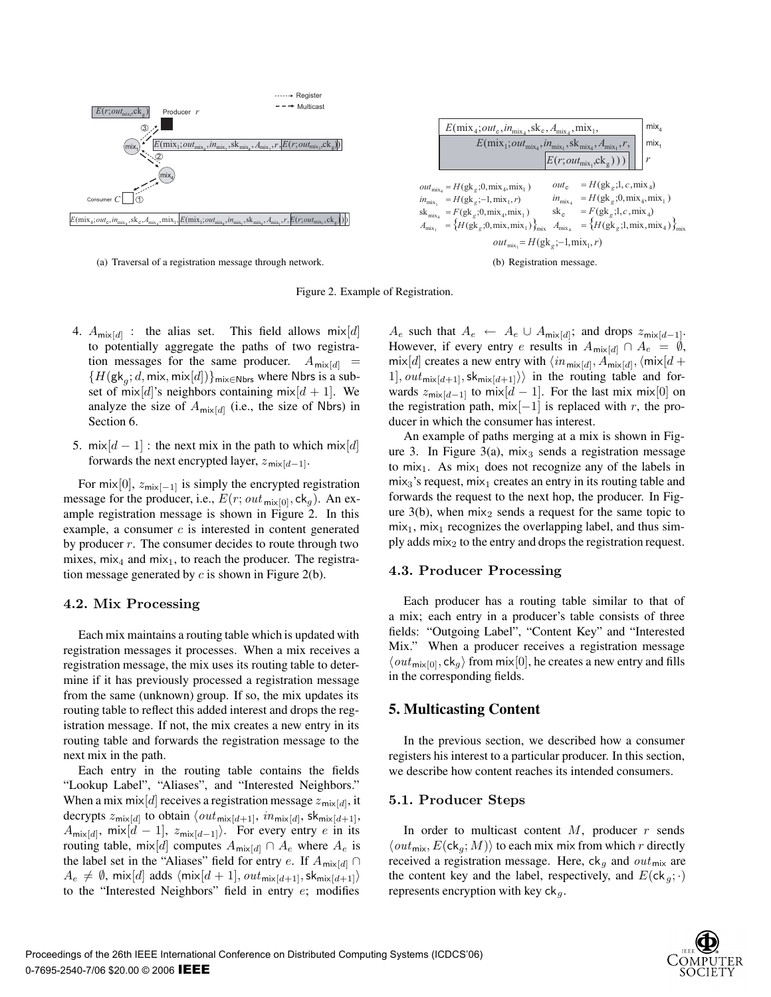

Figure 2. Example of Registration.

- 4.  $A_{\text{mix}[d]}$  : the alias set. This field allows mix[d] to potentially aggregate the paths of two registration messages for the same producer.  $A_{mix}[d] =$  ${H(\mathsf{g}\mathsf{k}_a; d, \mathsf{mix}, \mathsf{mix}[d])\}_{\mathsf{mix}\in\mathsf{Nbrs}}$  where Nbrs is a subset of mix[d]'s neighbors containing mix[d + 1]. We analyze the size of  $A_{mix}[d]$  (i.e., the size of Nbrs) in Section 6.
- 5. mix $[d-1]$ : the next mix in the path to which mix $[d]$ forwards the next encrypted layer,  $z_{mix}[d-1]$ .

For mix[0],  $z_{\text{mix}[-1]}$  is simply the encrypted registration message for the producer, i.e.,  $E(r; out_{mix[0]}, ck_g)$ . An example registration message is shown in Figure 2. In this example, a consumer  $c$  is interested in content generated by producer  $r$ . The consumer decides to route through two mixes,  $mix_4$  and  $mix_1$ , to reach the producer. The registration message generated by  $c$  is shown in Figure 2(b).

## **4.2. Mix Processing**

Each mix maintains a routing table which is updated with registration messages it processes. When a mix receives a registration message, the mix uses its routing table to determine if it has previously processed a registration message from the same (unknown) group. If so, the mix updates its routing table to reflect this added interest and drops the registration message. If not, the mix creates a new entry in its routing table and forwards the registration message to the next mix in the path.

Each entry in the routing table contains the fields "Lookup Label", "Aliases", and "Interested Neighbors." When a mix mix $[d]$  receives a registration message  $z_{mix}[d]$ , it decrypts  $z_{\text{mix}[d]}$  to obtain  $\langle out_{\text{mix}[d+1]}, in_{\text{mix}[d]}, \text{sk}_{\text{mix}[d+1]},$ <br>  $A_{\text{mix}[d]} = \text{mix}[d-1], z_{\text{mix}[d]}$  For every entry e in its  $A_{\text{mix}[d]}$ , mix $[d-1]$ ,  $z_{\text{mix}[d-1]}$ . For every entry e in its routing table, mix $[d]$  computes  $A_{\text{mix}[d]}$  of  $A_{\text{mix}[d]}$  where  $A_{\text{mix}[d]}$ routing table, mix[d] computes  $A_{mix}[d] \cap A_e$  where  $A_e$  is the label set in the "Aliases" field for entry e. If  $A_{\text{mix}[d]}$  ∩  $A_e \neq \emptyset$ , mix[d] adds  $\langle \text{mix}[d+1], out_{\text{mix}[d+1]}, \text{sk}_{\text{mix}[d+1]} \rangle$ <br>to the "Interested Neighbors" field in entry e: modifies to the "Interested Neighbors" field in entry  $e$ ; modifies

 $A_e$  such that  $A_e \leftarrow A_e \cup A_{mix}[d];$  and drops  $z_{mix}[d-1]$ . However, if every entry e results in  $A_{\text{mix}[d]} \cap A_e = \emptyset$ , mix[d] creates a new entry with  $\langle in_{\text{mix}}[d], A_{\text{mix}}[d], \langle \text{mix}}[d +$ <br>1)  $\langle out_{\text{mix}}[d], \langle \text{mix}}[d + \text{mix}]$  in the routing table and for-1],  $out_{\text{mix}[d+1]},\text{sk}_{\text{mix}[d+1]}\rangle$  in the routing table and forwards  $z_{\text{mix}[d-1]}$  to mix $[d-1]$ . For the last mix mix[0] on the registration path, mix $[-1]$  is replaced with r, the producer in which the consumer has interest.

An example of paths merging at a mix is shown in Figure 3. In Figure 3(a),  $mix_3$  sends a registration message to mix<sub>1</sub>. As mix<sub>1</sub> does not recognize any of the labels in  $mix<sub>3</sub>$ 's request, mix<sub>1</sub> creates an entry in its routing table and forwards the request to the next hop, the producer. In Figure  $3(b)$ , when mix<sub>2</sub> sends a request for the same topic to  $mix_1$ , mix<sub>1</sub> recognizes the overlapping label, and thus simply adds  $mix_2$  to the entry and drops the registration request.

## **4.3. Producer Processing**

Each producer has a routing table similar to that of a mix; each entry in a producer's table consists of three fields: "Outgoing Label", "Content Key" and "Interested Mix." When a producer receives a registration message  $\langle out_{\text{mix}[0]}, \text{ck}_g \rangle$  from mix $[0]$ , he creates a new entry and fills<br>in the corresponding fields in the corresponding fields.

## **5. Multicasting Content**

In the previous section, we described how a consumer registers his interest to a particular producer. In this section, we describe how content reaches its intended consumers.

## **5.1. Producer Steps**

In order to multicast content  $M$ , producer  $r$  sends  $\langle out_{\text{mix}}, E(\text{ck}_g; M) \rangle$  to each mix mix from which r directly<br>received a registration message. Here, ck, and  $\omega t$  is are received a registration message. Here,  $ck<sub>q</sub>$  and  $out<sub>mix</sub>$  are the content key and the label, respectively, and  $E(\mathsf{ck}_q; \cdot)$ represents encryption with key  $ck<sub>g</sub>$ .

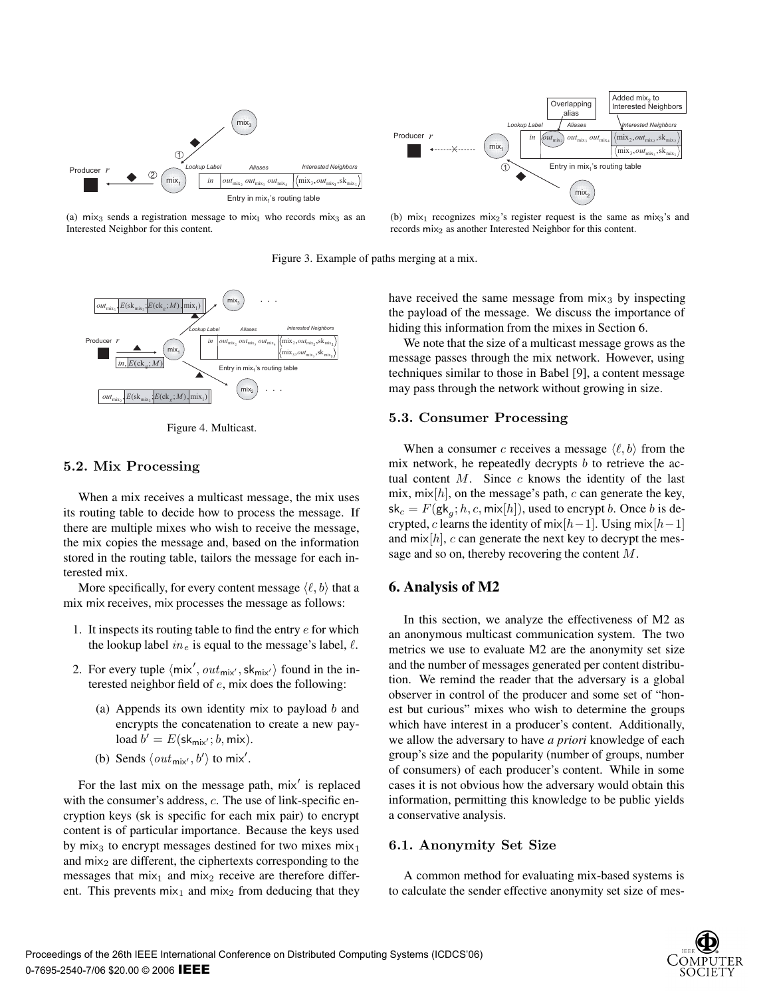



(b)  $mix_1$  recognizes mix<sub>2</sub>'s register request is the same as mix<sub>3</sub>'s and

records mix<sup>2</sup> as another Interested Neighbor for this content.

(a) mix<sub>3</sub> sends a registration message to mix<sub>1</sub> who records mix<sub>3</sub> as an Interested Neighbor for this content.

Figure 3. Example of paths merging at a mix.



Figure 4. Multicast.

### **5.2. Mix Processing**

When a mix receives a multicast message, the mix uses its routing table to decide how to process the message. If there are multiple mixes who wish to receive the message, the mix copies the message and, based on the information stored in the routing table, tailors the message for each interested mix.

More specifically, for every content message  $\langle \ell, b \rangle$  that a mix mix receives, mix processes the message as follows:

- 1. It inspects its routing table to find the entry  $e$  for which the lookup label  $in_e$  is equal to the message's label,  $\ell$ .
- 2. For every tuple  $\langle \text{mix}', out_{\text{mix}}', \text{sk}_{\text{mix}}' \rangle$  found in the in-<br>terested neighbor field of e, mix does the following: terested neighbor field of <sup>e</sup>, mix does the following:
	- (a) Appends its own identity mix to payload  $b$  and encrypts the concatenation to create a new payload  $b' = E(\mathsf{sk}_{\mathsf{mix}'}; b, \mathsf{mix}).$
	- (b) Sends  $\langle out_{\text{mix}'}, b' \rangle$  to mix'.

For the last mix on the message path,  $mix'$  is replaced with the consumer's address, c. The use of link-specific encryption keys (sk is specific for each mix pair) to encrypt content is of particular importance. Because the keys used by mix<sub>3</sub> to encrypt messages destined for two mixes mix<sub>1</sub> and  $mix_2$  are different, the ciphertexts corresponding to the messages that  $mix_1$  and  $mix_2$  receive are therefore different. This prevents  $mix_1$  and  $mix_2$  from deducing that they

have received the same message from  $mix_3$  by inspecting the payload of the message. We discuss the importance of hiding this information from the mixes in Section 6.

We note that the size of a multicast message grows as the message passes through the mix network. However, using techniques similar to those in Babel [9], a content message may pass through the network without growing in size.

### **5.3. Consumer Processing**

When a consumer c receives a message  $\langle \ell, b \rangle$  from the mix network, he repeatedly decrypts  $b$  to retrieve the actual content  $M$ . Since  $c$  knows the identity of the last mix, mix[h], on the message's path,  $c$  can generate the key,  $sk_c = F(gk_a; h, c, mix[h])$ , used to encrypt b. Once b is decrypted, c learns the identity of mix $[h-1]$ . Using mix $[h-1]$ and  $\text{mix}[h]$ , c can generate the next key to decrypt the message and so on, thereby recovering the content M.

### **6. Analysis of M2**

In this section, we analyze the effectiveness of M2 as an anonymous multicast communication system. The two metrics we use to evaluate M2 are the anonymity set size and the number of messages generated per content distribution. We remind the reader that the adversary is a global observer in control of the producer and some set of "honest but curious" mixes who wish to determine the groups which have interest in a producer's content. Additionally, we allow the adversary to have *a priori* knowledge of each group's size and the popularity (number of groups, number of consumers) of each producer's content. While in some cases it is not obvious how the adversary would obtain this information, permitting this knowledge to be public yields a conservative analysis.

### **6.1. Anonymity Set Size**

A common method for evaluating mix-based systems is to calculate the sender effective anonymity set size of mes-

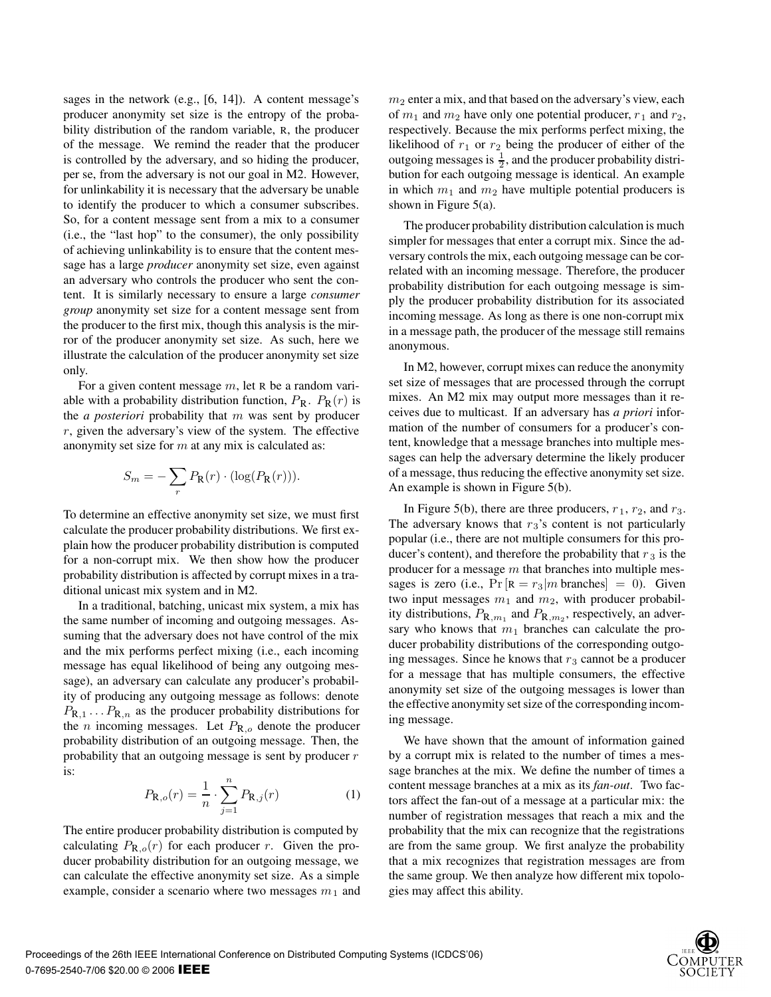sages in the network (e.g., [6, 14]). A content message's producer anonymity set size is the entropy of the probability distribution of the random variable, R, the producer of the message. We remind the reader that the producer is controlled by the adversary, and so hiding the producer, per se, from the adversary is not our goal in M2. However, for unlinkability it is necessary that the adversary be unable to identify the producer to which a consumer subscribes. So, for a content message sent from a mix to a consumer (i.e., the "last hop" to the consumer), the only possibility of achieving unlinkability is to ensure that the content message has a large *producer* anonymity set size, even against an adversary who controls the producer who sent the content. It is similarly necessary to ensure a large *consumer group* anonymity set size for a content message sent from the producer to the first mix, though this analysis is the mirror of the producer anonymity set size. As such, here we illustrate the calculation of the producer anonymity set size only.

For a given content message  $m$ , let R be a random variable with a probability distribution function,  $P_{\rm R}$ .  $P_{\rm R}(r)$  is the *a posteriori* probability that m was sent by producer  $r$ , given the adversary's view of the system. The effective anonymity set size for  $m$  at any mix is calculated as:

$$
S_m = -\sum_r P_{\mathbf{R}}(r) \cdot (\log(P_{\mathbf{R}}(r))).
$$

To determine an effective anonymity set size, we must first calculate the producer probability distributions. We first explain how the producer probability distribution is computed for a non-corrupt mix. We then show how the producer probability distribution is affected by corrupt mixes in a traditional unicast mix system and in M2.

In a traditional, batching, unicast mix system, a mix has the same number of incoming and outgoing messages. Assuming that the adversary does not have control of the mix and the mix performs perfect mixing (i.e., each incoming message has equal likelihood of being any outgoing message), an adversary can calculate any producer's probability of producing any outgoing message as follows: denote  $P_{\mathbf{R},1} \dots P_{\mathbf{R},n}$  as the producer probability distributions for the *n* incoming messages. Let  $P_{\mathbf{R},o}$  denote the producer probability distribution of an outgoing message. Then, the probability that an outgoing message is sent by producer r is:

$$
P_{\mathbf{R},o}(r) = \frac{1}{n} \cdot \sum_{j=1}^{n} P_{\mathbf{R},j}(r)
$$
 (1)

The entire producer probability distribution is computed by calculating  $P_{R,o}(r)$  for each producer r. Given the producer probability distribution for an outgoing message, we can calculate the effective anonymity set size. As a simple example, consider a scenario where two messages  $m_1$  and  $m_2$  enter a mix, and that based on the adversary's view, each of  $m_1$  and  $m_2$  have only one potential producer,  $r_1$  and  $r_2$ , respectively. Because the mix performs perfect mixing, the likelihood of  $r_1$  or  $r_2$  being the producer of either of the outgoing messages is  $\frac{1}{2}$ , and the producer probability distribution for each outgoing message is identical. An example in which  $m_1$  and  $m_2$  have multiple potential producers is shown in Figure 5(a).

The producer probability distribution calculation is much simpler for messages that enter a corrupt mix. Since the adversary controls the mix, each outgoing message can be correlated with an incoming message. Therefore, the producer probability distribution for each outgoing message is simply the producer probability distribution for its associated incoming message. As long as there is one non-corrupt mix in a message path, the producer of the message still remains anonymous.

In M2, however, corrupt mixes can reduce the anonymity set size of messages that are processed through the corrupt mixes. An M2 mix may output more messages than it receives due to multicast. If an adversary has *a priori* information of the number of consumers for a producer's content, knowledge that a message branches into multiple messages can help the adversary determine the likely producer of a message, thus reducing the effective anonymity set size. An example is shown in Figure 5(b).

In Figure 5(b), there are three producers,  $r_1$ ,  $r_2$ , and  $r_3$ . The adversary knows that  $r_3$ 's content is not particularly popular (i.e., there are not multiple consumers for this producer's content), and therefore the probability that  $r_3$  is the producer for a message  $m$  that branches into multiple messages is zero (i.e.,  $Pr[R = r_3|m$  branches = 0). Given two input messages  $m_1$  and  $m_2$ , with producer probability distributions,  $P_{\mathbf{R},m_1}$  and  $P_{\mathbf{R},m_2}$ , respectively, an adversary who knows that  $m_1$  branches can calculate the producer probability distributions of the corresponding outgoing messages. Since he knows that  $r_3$  cannot be a producer for a message that has multiple consumers, the effective anonymity set size of the outgoing messages is lower than the effective anonymity set size of the correspondingincoming message.

We have shown that the amount of information gained by a corrupt mix is related to the number of times a message branches at the mix. We define the number of times a content message branches at a mix as its *fan-out*. Two factors affect the fan-out of a message at a particular mix: the number of registration messages that reach a mix and the probability that the mix can recognize that the registrations are from the same group. We first analyze the probability that a mix recognizes that registration messages are from the same group. We then analyze how different mix topologies may affect this ability.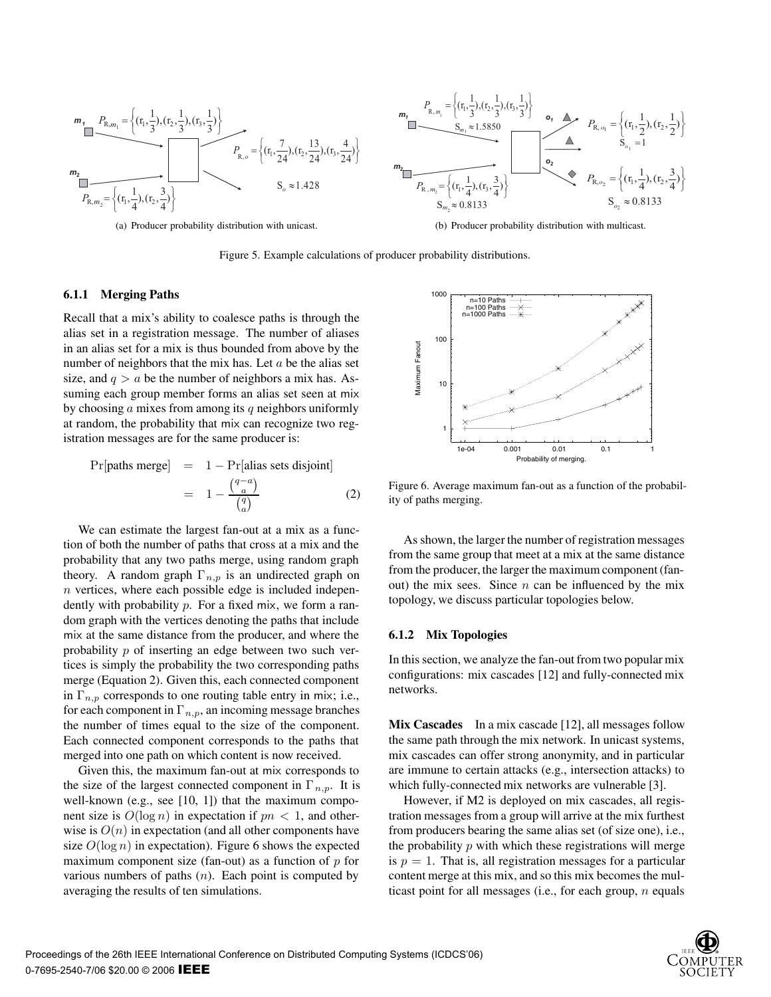

(a) Producer probability distribution with unicast.

(b) Producer probability distribution with multicast.

∫  $\left\{ \right.$ ⎫

∫  $\left\{ \right.$ ⎫

Figure 5. Example calculations of producer probability distributions.

#### **6.1.1 Merging Paths**

Recall that a mix's ability to coalesce paths is through the alias set in a registration message. The number of aliases in an alias set for a mix is thus bounded from above by the number of neighbors that the mix has. Let  $a$  be the alias set size, and  $q > a$  be the number of neighbors a mix has. Assuming each group member forms an alias set seen at mix by choosing  $\alpha$  mixes from among its  $q$  neighbors uniformly at random, the probability that mix can recognize two registration messages are for the same producer is:

Pr[paths merge] = 
$$
1 - Pr[alias sets disjoint]
$$
  
=  $1 - \frac{\binom{q-a}{a}}{\binom{q}{a}}$  (2)

We can estimate the largest fan-out at a mix as a function of both the number of paths that cross at a mix and the probability that any two paths merge, using random graph theory. A random graph  $\Gamma_{n,p}$  is an undirected graph on  $n$  vertices, where each possible edge is included independently with probability <sup>p</sup>. For a fixed mix, we form a random graph with the vertices denoting the paths that include mix at the same distance from the producer, and where the probability p of inserting an edge between two such vertices is simply the probability the two corresponding paths merge (Equation 2). Given this, each connected component in  $\Gamma_{n,p}$  corresponds to one routing table entry in mix; i.e., for each component in  $\Gamma_{n,p}$ , an incoming message branches the number of times equal to the size of the component. Each connected component corresponds to the paths that merged into one path on which content is now received.

Given this, the maximum fan-out at mix corresponds to the size of the largest connected component in  $\Gamma_{n,p}$ . It is well-known (e.g., see [10, 1]) that the maximum component size is  $O(\log n)$  in expectation if  $pn < 1$ , and otherwise is  $O(n)$  in expectation (and all other components have size  $O(\log n)$  in expectation). Figure 6 shows the expected maximum component size (fan-out) as a function of  $p$  for various numbers of paths  $(n)$ . Each point is computed by averaging the results of ten simulations.



Figure 6. Average maximum fan-out as a function of the probability of paths merging.

As shown, the larger the number of registration messages from the same group that meet at a mix at the same distance from the producer, the larger the maximum component (fanout) the mix sees. Since  $n$  can be influenced by the mix topology, we discuss particular topologies below.

#### **6.1.2 Mix Topologies**

In this section, we analyze the fan-out from two popular mix configurations: mix cascades [12] and fully-connected mix networks.

**Mix Cascades** In a mix cascade [12], all messages follow the same path through the mix network. In unicast systems, mix cascades can offer strong anonymity, and in particular are immune to certain attacks (e.g., intersection attacks) to which fully-connected mix networks are vulnerable [3].

However, if M2 is deployed on mix cascades, all registration messages from a group will arrive at the mix furthest from producers bearing the same alias set (of size one), i.e., the probability  $p$  with which these registrations will merge is  $p = 1$ . That is, all registration messages for a particular content merge at this mix, and so this mix becomes the multicast point for all messages (i.e., for each group,  $n$  equals

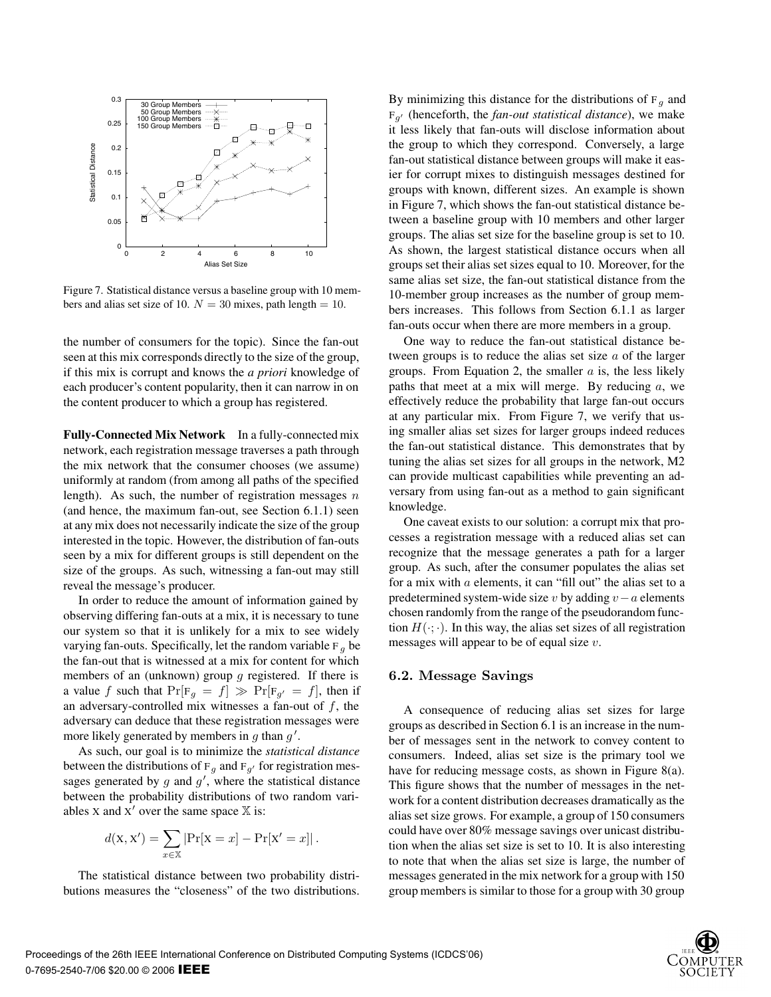

Figure 7. Statistical distance versus a baseline group with 10 members and alias set size of 10.  $N = 30$  mixes, path length = 10.

the number of consumers for the topic). Since the fan-out seen at this mix corresponds directly to the size of the group, if this mix is corrupt and knows the *a priori* knowledge of each producer's content popularity, then it can narrow in on the content producer to which a group has registered.

**Fully-Connected Mix Network** In a fully-connected mix network, each registration message traverses a path through the mix network that the consumer chooses (we assume) uniformly at random (from among all paths of the specified length). As such, the number of registration messages  $n$ (and hence, the maximum fan-out, see Section 6.1.1) seen at any mix does not necessarily indicate the size of the group interested in the topic. However, the distribution of fan-outs seen by a mix for different groups is still dependent on the size of the groups. As such, witnessing a fan-out may still reveal the message's producer.

In order to reduce the amount of information gained by observing differing fan-outs at a mix, it is necessary to tune our system so that it is unlikely for a mix to see widely varying fan-outs. Specifically, let the random variable  $F<sub>q</sub>$  be the fan-out that is witnessed at a mix for content for which members of an (unknown) group  $g$  registered. If there is a value f such that  $Pr[F_g = f] \gg Pr[F_{g'} = f]$ , then if an adversary-controlled mix witnesses a fan-out of  $f$ , the adversary can deduce that these registration messages were more likely generated by members in  $g$  than  $g'$ .

As such, our goal is to minimize the *statistical distance* between the distributions of  $F_g$  and  $F_{g'}$  for registration messages generated by  $g$  and  $g'$ , where the statistical distance between the probability distributions of two random variables  $X$  and  $X'$  over the same space  $X$  is:

$$
d(\mathbf{x}, \mathbf{x}') = \sum_{x \in \mathbb{X}} |\Pr[\mathbf{x} = x] - \Pr[\mathbf{x}' = x]|.
$$

The statistical distance between two probability distributions measures the "closeness" of the two distributions. By minimizing this distance for the distributions of  $F<sub>g</sub>$  and Fg- (henceforth, the *fan-out statistical distance*), we make it less likely that fan-outs will disclose information about the group to which they correspond. Conversely, a large fan-out statistical distance between groups will make it easier for corrupt mixes to distinguish messages destined for groups with known, different sizes. An example is shown in Figure 7, which shows the fan-out statistical distance between a baseline group with 10 members and other larger groups. The alias set size for the baseline group is set to 10. As shown, the largest statistical distance occurs when all groups set their alias set sizes equal to 10. Moreover, for the same alias set size, the fan-out statistical distance from the 10-member group increases as the number of group members increases. This follows from Section 6.1.1 as larger fan-outs occur when there are more members in a group.

One way to reduce the fan-out statistical distance between groups is to reduce the alias set size a of the larger groups. From Equation 2, the smaller  $a$  is, the less likely paths that meet at a mix will merge. By reducing  $a$ , we effectively reduce the probability that large fan-out occurs at any particular mix. From Figure 7, we verify that using smaller alias set sizes for larger groups indeed reduces the fan-out statistical distance. This demonstrates that by tuning the alias set sizes for all groups in the network, M2 can provide multicast capabilities while preventing an adversary from using fan-out as a method to gain significant knowledge.

One caveat exists to our solution: a corrupt mix that processes a registration message with a reduced alias set can recognize that the message generates a path for a larger group. As such, after the consumer populates the alias set for a mix with  $a$  elements, it can "fill out" the alias set to a predetermined system-wide size v by adding  $v - a$  elements chosen randomly from the range of the pseudorandom function  $H(\cdot; \cdot)$ . In this way, the alias set sizes of all registration messages will appear to be of equal size  $v$ .

### **6.2. Message Savings**

A consequence of reducing alias set sizes for large groups as described in Section 6.1 is an increase in the number of messages sent in the network to convey content to consumers. Indeed, alias set size is the primary tool we have for reducing message costs, as shown in Figure 8(a). This figure shows that the number of messages in the network for a content distribution decreases dramatically as the alias set size grows. For example, a group of 150 consumers could have over 80% message savings over unicast distribution when the alias set size is set to 10. It is also interesting to note that when the alias set size is large, the number of messages generated in the mix network for a group with 150 group members is similar to those for a group with 30 group

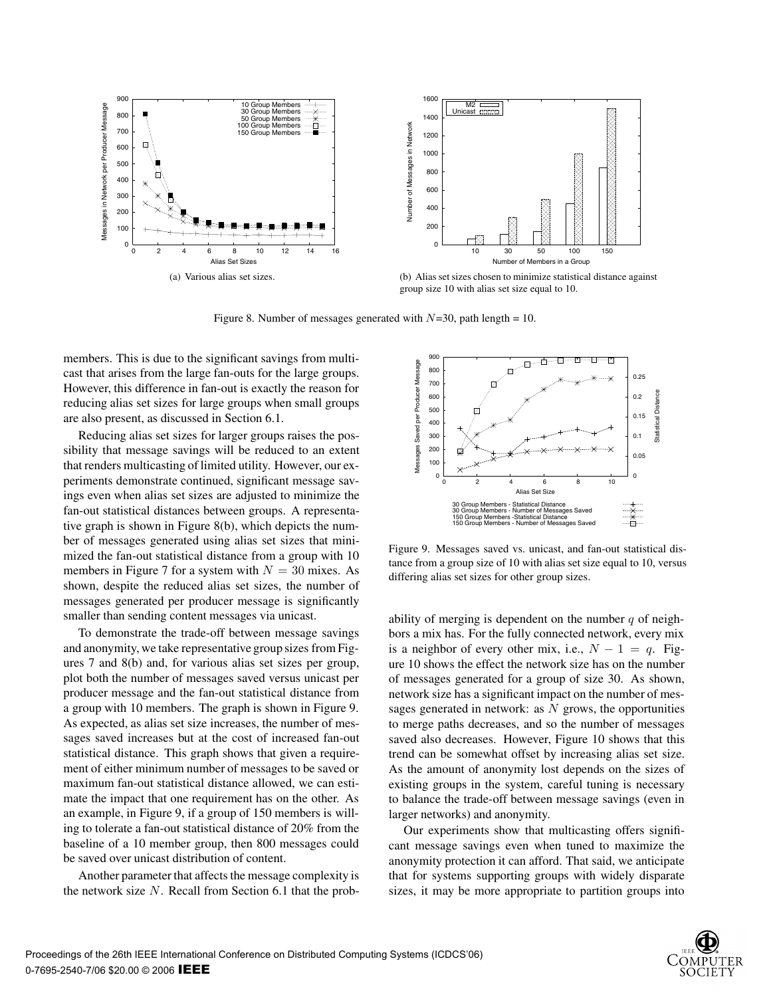

(b) Alias set sizes chosen to minimize statistical distance against group size 10 with alias set size equal to 10.

Figure 8. Number of messages generated with  $N=30$ , path length = 10.

members. This is due to the significant savings from multicast that arises from the large fan-outs for the large groups. However, this difference in fan-out is exactly the reason for reducing alias set sizes for large groups when small groups are also present, as discussed in Section 6.1.

Reducing alias set sizes for larger groups raises the possibility that message savings will be reduced to an extent that renders multicasting of limited utility. However, our experiments demonstrate continued, significant message savings even when alias set sizes are adjusted to minimize the fan-out statistical distances between groups. A representative graph is shown in Figure 8(b), which depicts the number of messages generated using alias set sizes that minimized the fan-out statistical distance from a group with 10 members in Figure 7 for a system with  $N = 30$  mixes. As shown, despite the reduced alias set sizes, the number of messages generated per producer message is significantly smaller than sending content messages via unicast.

To demonstrate the trade-off between message savings and anonymity, we take representative group sizes from Figures 7 and 8(b) and, for various alias set sizes per group, plot both the number of messages saved versus unicast per producer message and the fan-out statistical distance from a group with 10 members. The graph is shown in Figure 9. As expected, as alias set size increases, the number of messages saved increases but at the cost of increased fan-out statistical distance. This graph shows that given a requirement of either minimum number of messages to be saved or maximum fan-out statistical distance allowed, we can estimate the impact that one requirement has on the other. As an example, in Figure 9, if a group of 150 members is willing to tolerate a fan-out statistical distance of 20% from the baseline of a 10 member group, then 800 messages could be saved over unicast distribution of content.

Another parameter that affects the message complexity is the network size  $N$ . Recall from Section 6.1 that the prob-



Figure 9. Messages saved vs. unicast, and fan-out statistical distance from a group size of 10 with alias set size equal to 10, versus differing alias set sizes for other group sizes.

ability of merging is dependent on the number  $q$  of neighbors a mix has. For the fully connected network, every mix is a neighbor of every other mix, i.e.,  $N - 1 = q$ . Figure 10 shows the effect the network size has on the number of messages generated for a group of size 30. As shown, network size has a significant impact on the number of messages generated in network: as  $N$  grows, the opportunities to merge paths decreases, and so the number of messages saved also decreases. However, Figure 10 shows that this trend can be somewhat offset by increasing alias set size. As the amount of anonymity lost depends on the sizes of existing groups in the system, careful tuning is necessary to balance the trade-off between message savings (even in larger networks) and anonymity.

Our experiments show that multicasting offers significant message savings even when tuned to maximize the anonymity protection it can afford. That said, we anticipate that for systems supporting groups with widely disparate sizes, it may be more appropriate to partition groups into